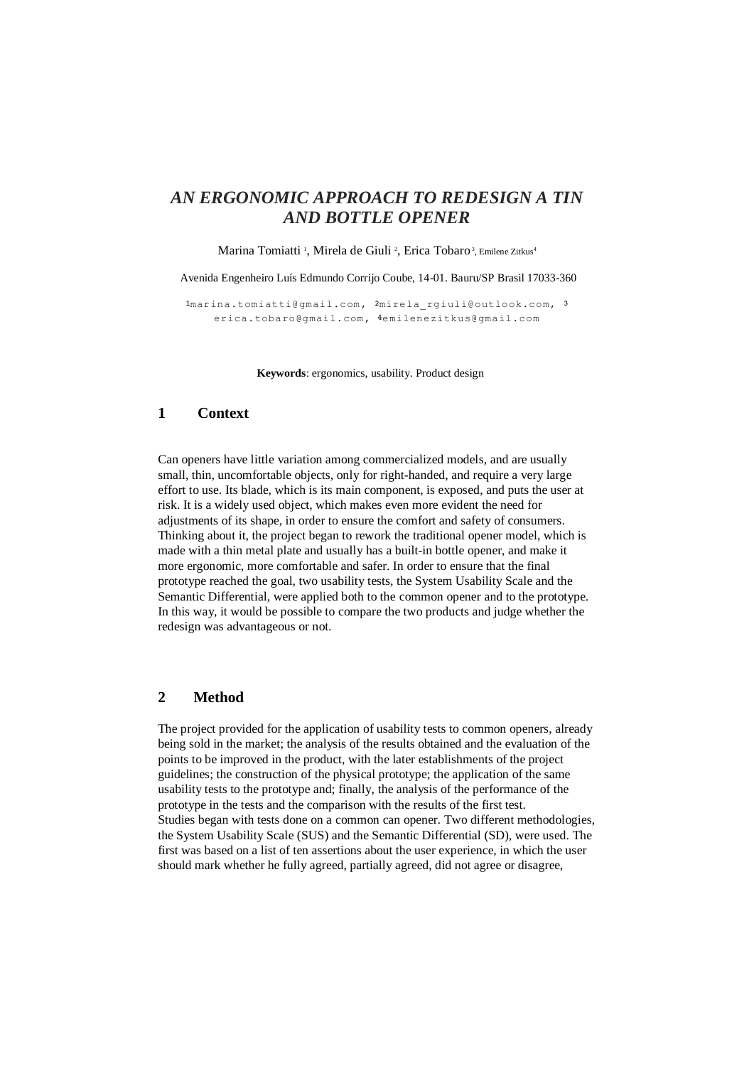# *AN ERGONOMIC APPROACH TO REDESIGN A TIN AND BOTTLE OPENER*

Marina Tomiatti<sup>1</sup>, Mirela de Giuli<sup>2</sup>, Erica Tobaro<sup>3</sup>, Emilene Zitkus<sup>4</sup>

Avenida Engenheiro Luís Edmundo Corrijo Coube, 14-01. Bauru/SP Brasil 17033-360

1marina.tomiatti@gmail.com, 2mirela rgiuli@outlook.com, 3 [erica.tobaro@gmail.com,](mailto:erica.tobaro@gmail.com) 4emilenezitkus@gmail.com

**Keywords**: ergonomics, usability. Product design

## **1 Context**

Can openers have little variation among commercialized models, and are usually small, thin, uncomfortable objects, only for right-handed, and require a very large effort to use. Its blade, which is its main component, is exposed, and puts the user at risk. It is a widely used object, which makes even more evident the need for adjustments of its shape, in order to ensure the comfort and safety of consumers. Thinking about it, the project began to rework the traditional opener model, which is made with a thin metal plate and usually has a built-in bottle opener, and make it more ergonomic, more comfortable and safer. In order to ensure that the final prototype reached the goal, two usability tests, the System Usability Scale and the Semantic Differential, were applied both to the common opener and to the prototype. In this way, it would be possible to compare the two products and judge whether the redesign was advantageous or not.

### **2 Method**

The project provided for the application of usability tests to common openers, already being sold in the market; the analysis of the results obtained and the evaluation of the points to be improved in the product, with the later establishments of the project guidelines; the construction of the physical prototype; the application of the same usability tests to the prototype and; finally, the analysis of the performance of the prototype in the tests and the comparison with the results of the first test. Studies began with tests done on a common can opener. Two different methodologies, the System Usability Scale (SUS) and the Semantic Differential (SD), were used. The first was based on a list of ten assertions about the user experience, in which the user should mark whether he fully agreed, partially agreed, did not agree or disagree,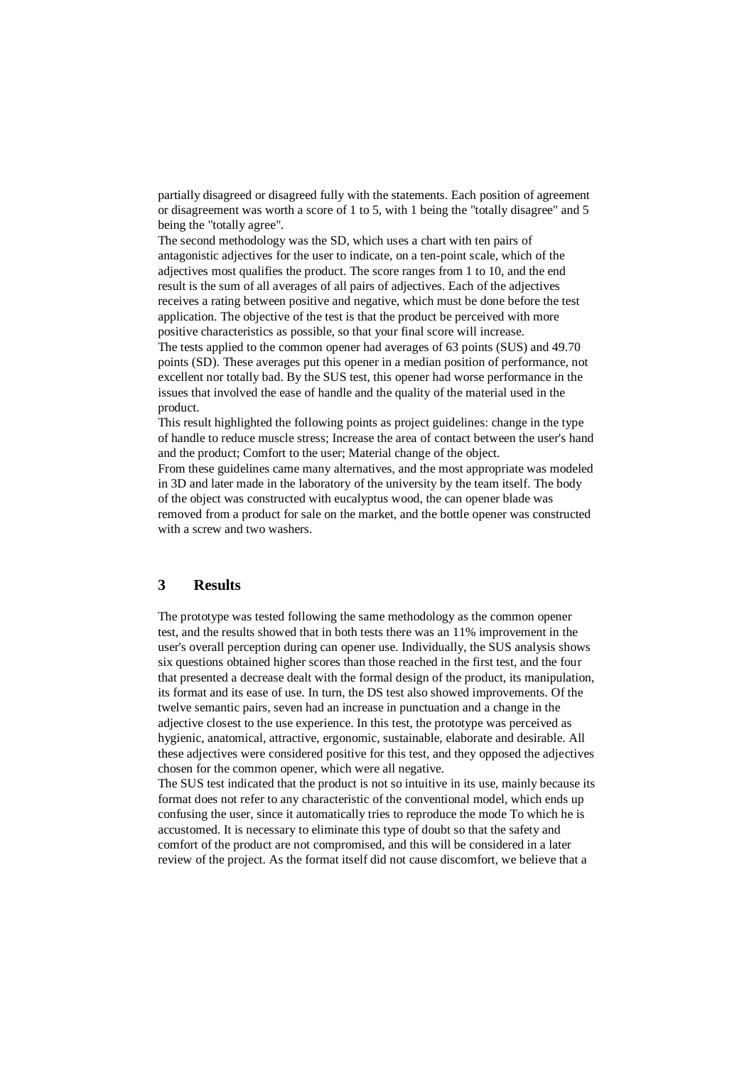partially disagreed or disagreed fully with the statements. Each position of agreement or disagreement was worth a score of 1 to 5, with 1 being the "totally disagree" and 5 being the "totally agree".

The second methodology was the SD, which uses a chart with ten pairs of antagonistic adjectives for the user to indicate, on a ten-point scale, which of the adjectives most qualifies the product. The score ranges from 1 to 10, and the end result is the sum of all averages of all pairs of adjectives. Each of the adjectives receives a rating between positive and negative, which must be done before the test application. The objective of the test is that the product be perceived with more positive characteristics as possible, so that your final score will increase. The tests applied to the common opener had averages of 63 points (SUS) and 49.70 points (SD). These averages put this opener in a median position of performance, not excellent nor totally bad. By the SUS test, this opener had worse performance in the issues that involved the ease of handle and the quality of the material used in the product.

This result highlighted the following points as project guidelines: change in the type of handle to reduce muscle stress; Increase the area of contact between the user's hand and the product; Comfort to the user; Material change of the object.

From these guidelines came many alternatives, and the most appropriate was modeled in 3D and later made in the laboratory of the university by the team itself. The body of the object was constructed with eucalyptus wood, the can opener blade was removed from a product for sale on the market, and the bottle opener was constructed with a screw and two washers.

### **3 Results**

The prototype was tested following the same methodology as the common opener test, and the results showed that in both tests there was an 11% improvement in the user's overall perception during can opener use. Individually, the SUS analysis shows six questions obtained higher scores than those reached in the first test, and the four that presented a decrease dealt with the formal design of the product, its manipulation, its format and its ease of use. In turn, the DS test also showed improvements. Of the twelve semantic pairs, seven had an increase in punctuation and a change in the adjective closest to the use experience. In this test, the prototype was perceived as hygienic, anatomical, attractive, ergonomic, sustainable, elaborate and desirable. All these adjectives were considered positive for this test, and they opposed the adjectives chosen for the common opener, which were all negative.

The SUS test indicated that the product is not so intuitive in its use, mainly because its format does not refer to any characteristic of the conventional model, which ends up confusing the user, since it automatically tries to reproduce the mode To which he is accustomed. It is necessary to eliminate this type of doubt so that the safety and comfort of the product are not compromised, and this will be considered in a later review of the project. As the format itself did not cause discomfort, we believe that a